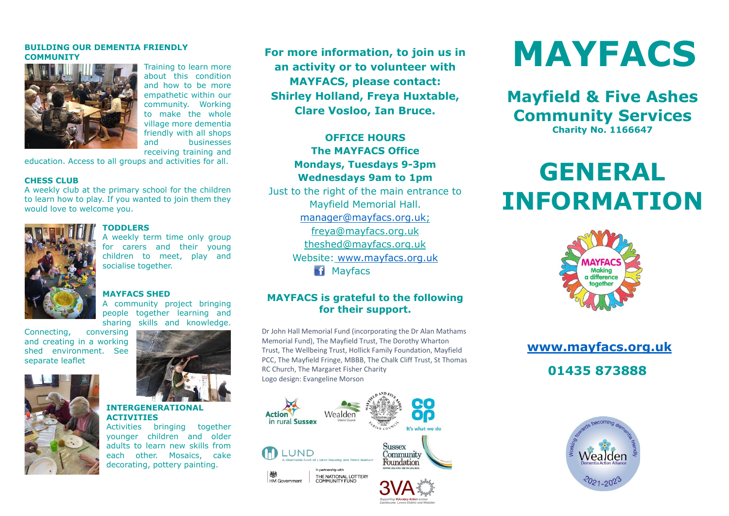#### **BUILDING OUR DEMENTIA FRIENDLY COMMUNITY**



Training to learn more about this condition and how to be more empathetic within our community. Working to make the whole village more dementia friendly with all shops and businesses receiving training and

education. Access to all groups and activities for all.

#### **CHESS CLUB**

A weekly club at the primary school for the children to learn how to play. If you wanted to join them they would love to welcome you.



#### **TODDLERS**

A weekly term time only group for carers and their young children to meet, play and socialise together.

#### **MAYFACS SHED**

A community project bringing people together learning and sharing skills and knowledge.

Connecting, conversing and creating in a working shed environment. See separate leaflet





#### **INTERGENERATIONAL ACTIVITIES**

Activities bringing together younger children and older adults to learn new skills from each other. Mosaics, cake decorating, pottery painting.

**For more information, to join us in an activity or to volunteer with MAYFACS, please contact: Shirley Holland, Freya Huxtable, Clare Vosloo, Ian Bruce.**

#### **OFFICE HOURS The MAYFACS Office Mondays, Tuesdays 9-3pm Wednesdays 9am to 1pm**

Just to the right of the main entrance to Mayfield Memorial Hall. [manager@mayfacs.org.uk;](mailto:manager@mayfacs.org.uk) freya@mayfacs.org.uk theshed@mayfacs.org.uk Website: [www.mayfacs.org.uk](http://www.mayfacs.org.uk/) **Mayfacs** 

#### **MAYFACS is grateful to the following for their support.**

Dr John Hall Memorial Fund (incorporating the Dr Alan Mathams Memorial Fund), The Mayfield Trust, The Dorothy Wharton Trust, The Wellbeing Trust, Hollick Family Foundation, Mayfield PCC, The Mayfield Fringe, MBBB, The Chalk Cliff Trust, St Thomas RC Church, The Margaret Fisher Charity Logo design: Evangeline Morson



# **MAYFACS**

**Mayfield & Five Ashes Community Services Charity No. 1166647**

## **GENERAL INFORMATION**



### **[www.mayfacs.org.uk](http://www.mayfacs.org.uk/) 01435 873888**